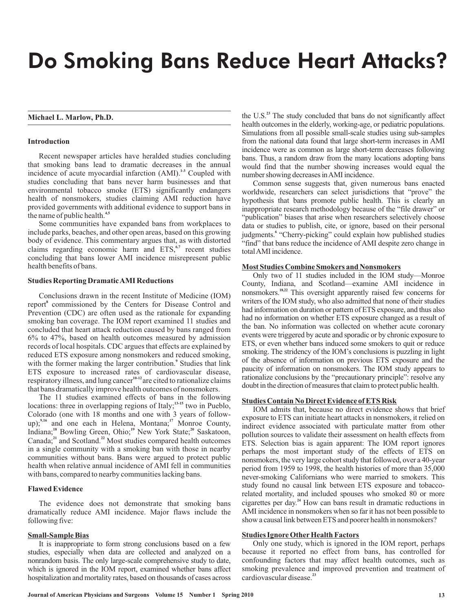# Do Smoking Bans Reduce Heart Attacks?

# **Michael L. Marlow, Ph.D.**

# **Introduction**

Recent newspaper articles have heralded studies concluding that smoking bans lead to dramatic decreases in the annual incidence of acute myocardial infarction (AMI).<sup>1,3</sup> Coupled with studies concluding that bans never harm businesses and that environmental tobacco smoke (ETS) significantly endangers health of nonsmokers, studies claiming AMI reduction have provided governments with additional evidence to support bans in the name of public health. **4,5**

Some communities have expanded bans from workplaces to include parks, beaches, and other open areas, based on this growing body of evidence. This commentary argues that, as with distorted claims regarding economic harm and ETS,<sup>6,7</sup> recent studies concluding that bans lower AMI incidence misrepresent public health benefits of bans.

# **Studies Reporting DramaticAMI Reductions**

Conclusions drawn in the recent Institute of Medicine (IOM) report<sup>8</sup> commissioned by the Centers for Disease Control and Prevention (CDC) are often used as the rationale for expanding smoking ban coverage. The IOM report examined 11 studies and concluded that heart attack reduction caused by bans ranged from 6% to 47%, based on health outcomes measured by admission records of local hospitals. CDC argues that effects are explained by reduced ETS exposure among nonsmokers and reduced smoking, with the former making the larger contribution.<sup>9</sup> Studies that link ETS exposure to increased rates of cardiovascular disease, respiratory illness, and lung cancer<sup>10-12</sup> are cited to rationalize claims that bans dramatically improve health outcomes of nonsmokers.

The 11 studies examined effects of bans in the following locations: three in overlapping regions of Italy;<sup>13-15</sup> two in Pueblo, Colorado (one with 18 months and one with 3 years of followup);<sup>9,16</sup> and one each in Helena, Montana;<sup>17</sup> Monroe County, Indiana;<sup>18</sup> Bowling Green, Ohio;<sup>19</sup> New York State;<sup>20</sup> Saskatoon, Canada;<sup>21</sup> and Scotland.<sup>22</sup> Most studies compared health outcomes in a single community with a smoking ban with those in nearby communities without bans. Bans were argued to protect public health when relative annual incidence of AMI fell in communities with bans, compared to nearby communities lacking bans.  $9,16$  and any sold in Traleng Montone,  $^{17}$  $^{18}$  Develope Curry Object<sup>19</sup> Mass Vaul, Ctota<sup>20</sup>  $^{21}$  and  $\Omega$  astland  $^{22}$ 

## **Flawed Evidence**

The evidence does not demonstrate that smoking bans dramatically reduce AMI incidence. Major flaws include the following five:

# **Small-Sample Bias**

It is inappropriate to form strong conclusions based on a few studies, especially when data are collected and analyzed on a nonrandom basis. The only large-scale comprehensive study to date, which is ignored in the IOM report, examined whether bans affect hospitalization and mortality rates, based on thousands of cases across

the U.S.<sup>23</sup> The study concluded that bans do not significantly affect health outcomes in the elderly, working-age, or pediatric populations. Simulations from all possible small-scale studies using sub-samples from the national data found that large short-term increases in AMI incidence were as common as large short-term decreases following bans. Thus, a random draw from the many locations adopting bans would find that the number showing increases would equal the number showing decreases inAMI incidence.

Common sense suggests that, given numerous bans enacted worldwide, researchers can select jurisdictions that "prove" the hypothesis that bans promote public health. This is clearly an inappropriate research methodology because of the "file drawer" or "publication" biases that arise when researchers selectively choose data or studies to publish, cite, or ignore, based on their personal judgments.<sup>6</sup> "Cherry-picking" could explain how published studies "find" that bans reduce the incidence of AMI despite zero change in totalAMI incidence.

# **Most Studies Combine Smokers and Nonsmokers**

Only two of 11 studies included in the IOM study—Monroe County, Indiana, and Scotland—examine AMI incidence in nonsmokers.<sup>18,22</sup> This oversight apparently raised few concerns for writers of the IOM study, who also admitted that none of their studies had information on duration or pattern of ETS exposure, and thus also had no information on whether ETS exposure changed as a result of the ban. No information was collected on whether acute coronary events were triggered by acute and sporadic or by chronic exposure to ETS, or even whether bans induced some smokers to quit or reduce smoking. The stridency of the IOM's conclusions is puzzling in light of the absence of information on previous ETS exposure and the paucity of information on nonsmokers. The IOM study appears to rationalize conclusions by the "precautionary principle": resolve any doubt in the direction of measures that claim to protect public health.

#### **Studies Contain No Direct Evidence of ETS Risk**

IOM admits that, because no direct evidence shows that brief exposure to ETS can initiate heart attacks in nonsmokers, it relied on indirect evidence associated with particulate matter from other pollution sources to validate their assessment on health effects from ETS. Selection bias is again apparent: The IOM report ignores perhaps the most important study of the effects of ETS on nonsmokers, the very large cohort study that followed, over a 40-year period from 1959 to 1998, the health histories of more than 35,000 never-smoking Californians who were married to smokers. This study found no causal link between ETS exposure and tobaccorelated mortality, and included spouses who smoked 80 or more cigarettes per day.<sup>24</sup> How can bans result in dramatic reductions in AMI incidence in nonsmokers when so far it has not been possible to show a causal link between ETS and poorer health in nonsmokers?

# **Studies Ignore Other Health Factors**

Only one study, which is ignored in the IOM report, perhaps because it reported no effect from bans, has controlled for confounding factors that may affect health outcomes, such as smoking prevalence and improved prevention and treatment of cardiovascular disease. **23**